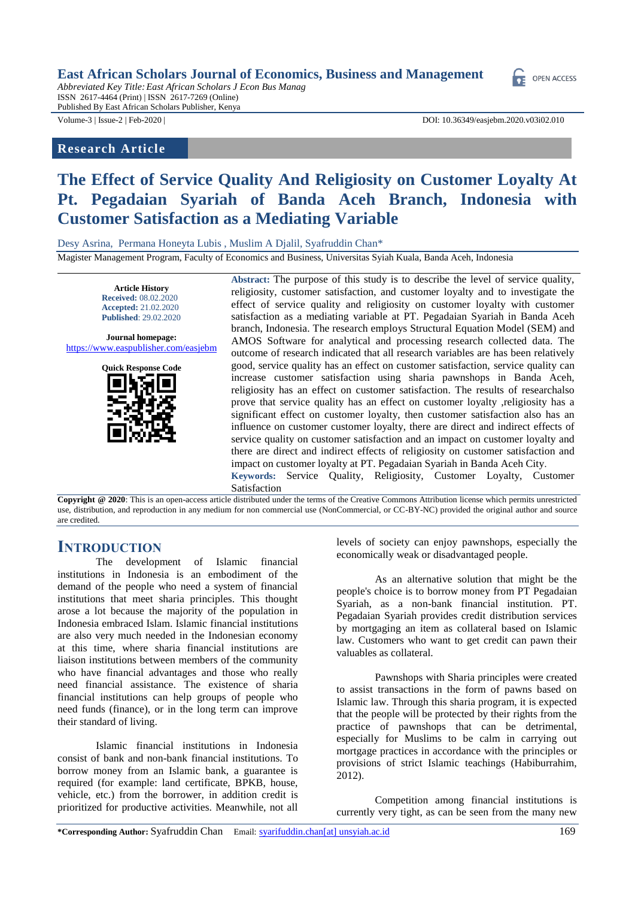#### **East African Scholars Journal of Economics, Business and Management**

*Abbreviated Key Title:East African Scholars J Econ Bus Manag* ISSN 2617-4464 (Print) | ISSN 2617-7269 (Online) Published By East African Scholars Publisher, Kenya

# **Research Article**

Volume-3 | Issue-2 | Feb-2020 | DOI: 10.36349/easjebm.2020.v03i02.010

**OPEN ACCESS** 

# **The Effect of Service Quality And Religiosity on Customer Loyalty At Pt. Pegadaian Syariah of Banda Aceh Branch, Indonesia with Customer Satisfaction as a Mediating Variable**

Desy Asrina, Permana Honeyta Lubis , Muslim A Djalil, Syafruddin Chan\*

Magister Management Program, Faculty of Economics and Business, Universitas Syiah Kuala, Banda Aceh, Indonesia

**Article History Received:** 08.02.2020 **Accepted:** 21.02.2020 **Published**: 29.02.2020

**Journal homepage:** https://www.easpublisher.com/easjebm



**Abstract:** The purpose of this study is to describe the level of service quality, religiosity, customer satisfaction, and customer loyalty and to investigate the effect of service quality and religiosity on customer loyalty with customer satisfaction as a mediating variable at PT. Pegadaian Syariah in Banda Aceh branch, Indonesia. The research employs Structural Equation Model (SEM) and AMOS Software for analytical and processing research collected data. The outcome of research indicated that all research variables are has been relatively good, service quality has an effect on customer satisfaction, service quality can increase customer satisfaction using sharia pawnshops in Banda Aceh, religiosity has an effect on customer satisfaction. The results of researchalso prove that service quality has an effect on customer loyalty ,religiosity has a significant effect on customer loyalty, then customer satisfaction also has an influence on customer customer loyalty, there are direct and indirect effects of service quality on customer satisfaction and an impact on customer loyalty and there are direct and indirect effects of religiosity on customer satisfaction and impact on customer loyalty at PT. Pegadaian Syariah in Banda Aceh City. **Keywords:** Service Quality, Religiosity, Customer Loyalty, Customer

Satisfaction

**Copyright @ 2020**: This is an open-access article distributed under the terms of the Creative Commons Attribution license which permits unrestricted use, distribution, and reproduction in any medium for non commercial use (NonCommercial, or CC-BY-NC) provided the original author and source are credited.

# **INTRODUCTION**

The development of Islamic financial institutions in Indonesia is an embodiment of the demand of the people who need a system of financial institutions that meet sharia principles. This thought arose a lot because the majority of the population in Indonesia embraced Islam. Islamic financial institutions are also very much needed in the Indonesian economy at this time, where sharia financial institutions are liaison institutions between members of the community who have financial advantages and those who really need financial assistance. The existence of sharia financial institutions can help groups of people who need funds (finance), or in the long term can improve their standard of living.

Islamic financial institutions in Indonesia consist of bank and non-bank financial institutions. To borrow money from an Islamic bank, a guarantee is required (for example: land certificate, BPKB, house, vehicle, etc.) from the borrower, in addition credit is prioritized for productive activities. Meanwhile, not all

levels of society can enjoy pawnshops, especially the economically weak or disadvantaged people.

As an alternative solution that might be the people's choice is to borrow money from PT Pegadaian Syariah, as a non-bank financial institution. PT. Pegadaian Syariah provides credit distribution services by mortgaging an item as collateral based on Islamic law. Customers who want to get credit can pawn their valuables as collateral.

Pawnshops with Sharia principles were created to assist transactions in the form of pawns based on Islamic law. Through this sharia program, it is expected that the people will be protected by their rights from the practice of pawnshops that can be detrimental, especially for Muslims to be calm in carrying out mortgage practices in accordance with the principles or provisions of strict Islamic teachings (Habiburrahim, 2012).

Competition among financial institutions is currently very tight, as can be seen from the many new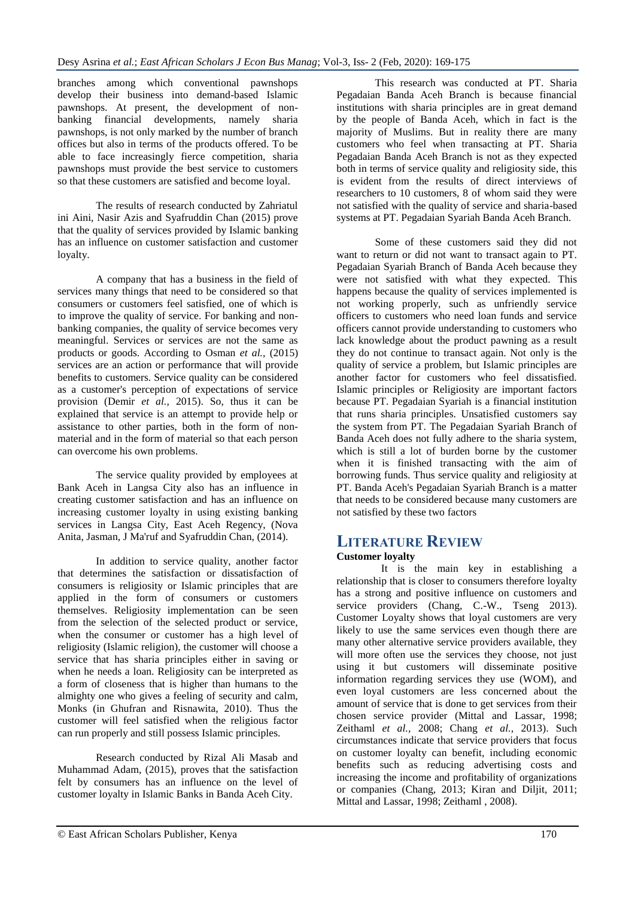branches among which conventional pawnshops develop their business into demand-based Islamic pawnshops. At present, the development of nonbanking financial developments, namely sharia pawnshops, is not only marked by the number of branch offices but also in terms of the products offered. To be able to face increasingly fierce competition, sharia pawnshops must provide the best service to customers so that these customers are satisfied and become loyal.

The results of research conducted by Zahriatul ini Aini, Nasir Azis and Syafruddin Chan (2015) prove that the quality of services provided by Islamic banking has an influence on customer satisfaction and customer loyalty.

A company that has a business in the field of services many things that need to be considered so that consumers or customers feel satisfied, one of which is to improve the quality of service. For banking and nonbanking companies, the quality of service becomes very meaningful. Services or services are not the same as products or goods. According to Osman *et al.,* (2015) services are an action or performance that will provide benefits to customers. Service quality can be considered as a customer's perception of expectations of service provision (Demir *et al.,* 2015). So, thus it can be explained that service is an attempt to provide help or assistance to other parties, both in the form of nonmaterial and in the form of material so that each person can overcome his own problems.

The service quality provided by employees at Bank Aceh in Langsa City also has an influence in creating customer satisfaction and has an influence on increasing customer loyalty in using existing banking services in Langsa City, East Aceh Regency, (Nova Anita, Jasman, J Ma'ruf and Syafruddin Chan, (2014).

In addition to service quality, another factor that determines the satisfaction or dissatisfaction of consumers is religiosity or Islamic principles that are applied in the form of consumers or customers themselves. Religiosity implementation can be seen from the selection of the selected product or service, when the consumer or customer has a high level of religiosity (Islamic religion), the customer will choose a service that has sharia principles either in saving or when he needs a loan. Religiosity can be interpreted as a form of closeness that is higher than humans to the almighty one who gives a feeling of security and calm, Monks (in Ghufran and Risnawita, 2010). Thus the customer will feel satisfied when the religious factor can run properly and still possess Islamic principles.

Research conducted by Rizal Ali Masab and Muhammad Adam, (2015), proves that the satisfaction felt by consumers has an influence on the level of customer loyalty in Islamic Banks in Banda Aceh City.

This research was conducted at PT. Sharia Pegadaian Banda Aceh Branch is because financial institutions with sharia principles are in great demand by the people of Banda Aceh, which in fact is the majority of Muslims. But in reality there are many customers who feel when transacting at PT. Sharia Pegadaian Banda Aceh Branch is not as they expected both in terms of service quality and religiosity side, this is evident from the results of direct interviews of researchers to 10 customers, 8 of whom said they were not satisfied with the quality of service and sharia-based systems at PT. Pegadaian Syariah Banda Aceh Branch.

Some of these customers said they did not want to return or did not want to transact again to PT. Pegadaian Syariah Branch of Banda Aceh because they were not satisfied with what they expected. This happens because the quality of services implemented is not working properly, such as unfriendly service officers to customers who need loan funds and service officers cannot provide understanding to customers who lack knowledge about the product pawning as a result they do not continue to transact again. Not only is the quality of service a problem, but Islamic principles are another factor for customers who feel dissatisfied. Islamic principles or Religiosity are important factors because PT. Pegadaian Syariah is a financial institution that runs sharia principles. Unsatisfied customers say the system from PT. The Pegadaian Syariah Branch of Banda Aceh does not fully adhere to the sharia system, which is still a lot of burden borne by the customer when it is finished transacting with the aim of borrowing funds. Thus service quality and religiosity at PT. Banda Aceh's Pegadaian Syariah Branch is a matter that needs to be considered because many customers are not satisfied by these two factors

# **LITERATURE REVIEW**

### **Customer loyalty**

It is the main key in establishing a relationship that is closer to consumers therefore loyalty has a strong and positive influence on customers and service providers (Chang, C.-W., Tseng 2013). Customer Loyalty shows that loyal customers are very likely to use the same services even though there are many other alternative service providers available, they will more often use the services they choose, not just using it but customers will disseminate positive information regarding services they use (WOM), and even loyal customers are less concerned about the amount of service that is done to get services from their chosen service provider (Mittal and Lassar, 1998; Zeithaml *et al.,* 2008; Chang *et al.,* 2013). Such circumstances indicate that service providers that focus on customer loyalty can benefit, including economic benefits such as reducing advertising costs and increasing the income and profitability of organizations or companies (Chang, 2013; Kiran and Diljit, 2011; Mittal and Lassar, 1998; Zeithaml , 2008).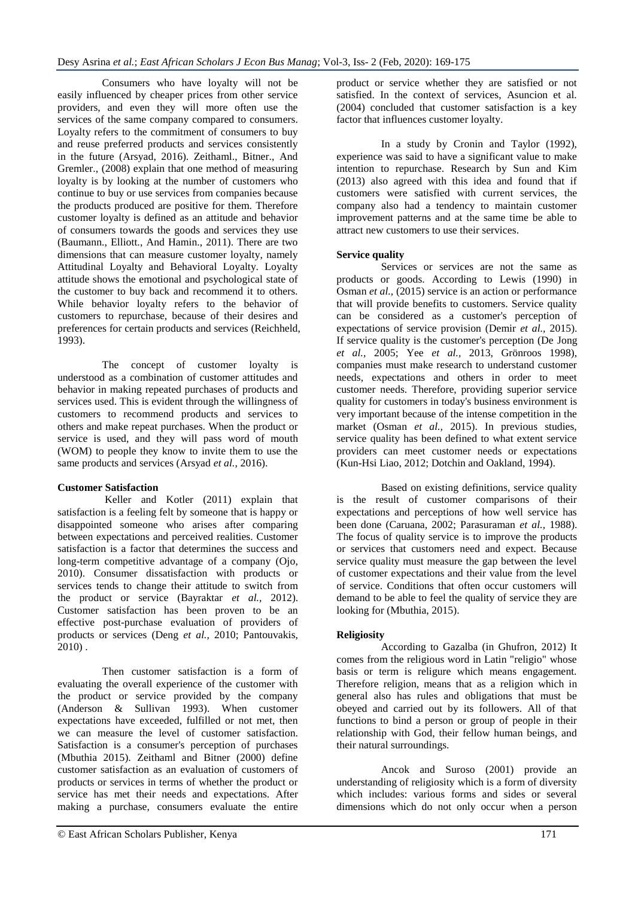Consumers who have loyalty will not be easily influenced by cheaper prices from other service providers, and even they will more often use the services of the same company compared to consumers. Loyalty refers to the commitment of consumers to buy and reuse preferred products and services consistently in the future (Arsyad, 2016). Zeithaml., Bitner., And Gremler., (2008) explain that one method of measuring loyalty is by looking at the number of customers who continue to buy or use services from companies because the products produced are positive for them. Therefore customer loyalty is defined as an attitude and behavior of consumers towards the goods and services they use (Baumann., Elliott., And Hamin., 2011). There are two dimensions that can measure customer loyalty, namely Attitudinal Loyalty and Behavioral Loyalty. Loyalty attitude shows the emotional and psychological state of the customer to buy back and recommend it to others. While behavior loyalty refers to the behavior of customers to repurchase, because of their desires and preferences for certain products and services (Reichheld, 1993).

The concept of customer loyalty is understood as a combination of customer attitudes and behavior in making repeated purchases of products and services used. This is evident through the willingness of customers to recommend products and services to others and make repeat purchases. When the product or service is used, and they will pass word of mouth (WOM) to people they know to invite them to use the same products and services (Arsyad *et al.,* 2016).

### **Customer Satisfaction**

Keller and Kotler (2011) explain that satisfaction is a feeling felt by someone that is happy or disappointed someone who arises after comparing between expectations and perceived realities. Customer satisfaction is a factor that determines the success and long-term competitive advantage of a company (Ojo, 2010). Consumer dissatisfaction with products or services tends to change their attitude to switch from the product or service (Bayraktar *et al.,* 2012). Customer satisfaction has been proven to be an effective post-purchase evaluation of providers of products or services (Deng *et al.,* 2010; Pantouvakis, 2010) .

Then customer satisfaction is a form of evaluating the overall experience of the customer with the product or service provided by the company (Anderson & Sullivan 1993). When customer expectations have exceeded, fulfilled or not met, then we can measure the level of customer satisfaction. Satisfaction is a consumer's perception of purchases (Mbuthia 2015). Zeithaml and Bitner (2000) define customer satisfaction as an evaluation of customers of products or services in terms of whether the product or service has met their needs and expectations. After making a purchase, consumers evaluate the entire

product or service whether they are satisfied or not satisfied. In the context of services, Asuncion et al. (2004) concluded that customer satisfaction is a key factor that influences customer loyalty.

In a study by Cronin and Taylor (1992), experience was said to have a significant value to make intention to repurchase. Research by Sun and Kim (2013) also agreed with this idea and found that if customers were satisfied with current services, the company also had a tendency to maintain customer improvement patterns and at the same time be able to attract new customers to use their services.

### **Service quality**

Services or services are not the same as products or goods. According to Lewis (1990) in Osman *et al.,* (2015) service is an action or performance that will provide benefits to customers. Service quality can be considered as a customer's perception of expectations of service provision (Demir *et al.,* 2015). If service quality is the customer's perception (De Jong *et al.,* 2005; Yee *et al.,* 2013, Grönroos 1998), companies must make research to understand customer needs, expectations and others in order to meet customer needs. Therefore, providing superior service quality for customers in today's business environment is very important because of the intense competition in the market (Osman *et al.,* 2015). In previous studies, service quality has been defined to what extent service providers can meet customer needs or expectations (Kun-Hsi Liao, 2012; Dotchin and Oakland, 1994).

Based on existing definitions, service quality is the result of customer comparisons of their expectations and perceptions of how well service has been done (Caruana, 2002; Parasuraman *et al.,* 1988). The focus of quality service is to improve the products or services that customers need and expect. Because service quality must measure the gap between the level of customer expectations and their value from the level of service. Conditions that often occur customers will demand to be able to feel the quality of service they are looking for (Mbuthia, 2015).

### **Religiosity**

According to Gazalba (in Ghufron, 2012) It comes from the religious word in Latin "religio" whose basis or term is religure which means engagement. Therefore religion, means that as a religion which in general also has rules and obligations that must be obeyed and carried out by its followers. All of that functions to bind a person or group of people in their relationship with God, their fellow human beings, and their natural surroundings.

Ancok and Suroso (2001) provide an understanding of religiosity which is a form of diversity which includes: various forms and sides or several dimensions which do not only occur when a person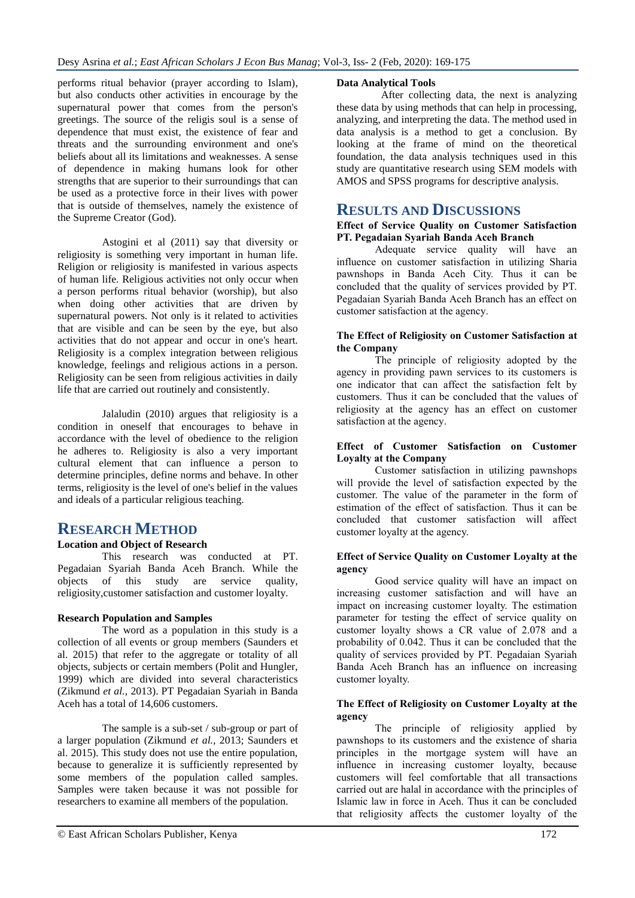performs ritual behavior (prayer according to Islam), but also conducts other activities in encourage by the supernatural power that comes from the person's greetings. The source of the religis soul is a sense of dependence that must exist, the existence of fear and threats and the surrounding environment and one's beliefs about all its limitations and weaknesses. A sense of dependence in making humans look for other strengths that are superior to their surroundings that can be used as a protective force in their lives with power that is outside of themselves, namely the existence of the Supreme Creator (God).

Astogini et al (2011) say that diversity or religiosity is something very important in human life. Religion or religiosity is manifested in various aspects of human life. Religious activities not only occur when a person performs ritual behavior (worship), but also when doing other activities that are driven by supernatural powers. Not only is it related to activities that are visible and can be seen by the eye, but also activities that do not appear and occur in one's heart. Religiosity is a complex integration between religious knowledge, feelings and religious actions in a person. Religiosity can be seen from religious activities in daily life that are carried out routinely and consistently.

Jalaludin (2010) argues that religiosity is a condition in oneself that encourages to behave in accordance with the level of obedience to the religion he adheres to. Religiosity is also a very important cultural element that can influence a person to determine principles, define norms and behave. In other terms, religiosity is the level of one's belief in the values and ideals of a particular religious teaching.

# **RESEARCH METHOD**

### **Location and Object of Research**

This research was conducted at PT. Pegadaian Syariah Banda Aceh Branch. While the objects of this study are service quality, religiosity,customer satisfaction and customer loyalty.

### **Research Population and Samples**

The word as a population in this study is a collection of all events or group members (Saunders et al. 2015) that refer to the aggregate or totality of all objects, subjects or certain members (Polit and Hungler, 1999) which are divided into several characteristics (Zikmund *et al.,* 2013). PT Pegadaian Syariah in Banda Aceh has a total of 14,606 customers.

The sample is a sub-set / sub-group or part of a larger population (Zikmund *et al.,* 2013; Saunders et al. 2015). This study does not use the entire population, because to generalize it is sufficiently represented by some members of the population called samples. Samples were taken because it was not possible for researchers to examine all members of the population.

### **Data Analytical Tools**

After collecting data, the next is analyzing these data by using methods that can help in processing, analyzing, and interpreting the data. The method used in data analysis is a method to get a conclusion. By looking at the frame of mind on the theoretical foundation, the data analysis techniques used in this study are quantitative research using SEM models with AMOS and SPSS programs for descriptive analysis.

# **RESULTS AND DISCUSSIONS**

**Effect of Service Quality on Customer Satisfaction PT. Pegadaian Syariah Banda Aceh Branch**

Adequate service quality will have an influence on customer satisfaction in utilizing Sharia pawnshops in Banda Aceh City. Thus it can be concluded that the quality of services provided by PT. Pegadaian Syariah Banda Aceh Branch has an effect on customer satisfaction at the agency.

#### **The Effect of Religiosity on Customer Satisfaction at the Company**

The principle of religiosity adopted by the agency in providing pawn services to its customers is one indicator that can affect the satisfaction felt by customers. Thus it can be concluded that the values of religiosity at the agency has an effect on customer satisfaction at the agency.

#### **Effect of Customer Satisfaction on Customer Loyalty at the Company**

Customer satisfaction in utilizing pawnshops will provide the level of satisfaction expected by the customer. The value of the parameter in the form of estimation of the effect of satisfaction. Thus it can be concluded that customer satisfaction will affect customer loyalty at the agency.

#### **Effect of Service Quality on Customer Loyalty at the agency**

Good service quality will have an impact on increasing customer satisfaction and will have an impact on increasing customer loyalty. The estimation parameter for testing the effect of service quality on customer loyalty shows a CR value of 2.078 and a probability of 0.042. Thus it can be concluded that the quality of services provided by PT. Pegadaian Syariah Banda Aceh Branch has an influence on increasing customer loyalty.

#### **The Effect of Religiosity on Customer Loyalty at the agency**

The principle of religiosity applied by pawnshops to its customers and the existence of sharia principles in the mortgage system will have an influence in increasing customer loyalty, because customers will feel comfortable that all transactions carried out are halal in accordance with the principles of Islamic law in force in Aceh. Thus it can be concluded that religiosity affects the customer loyalty of the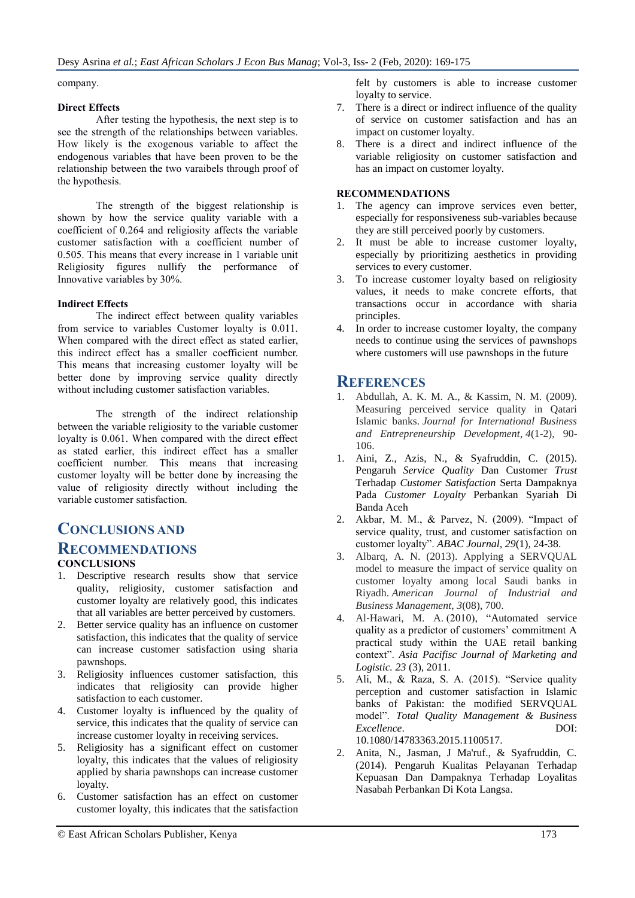company.

### **Direct Effects**

After testing the hypothesis, the next step is to see the strength of the relationships between variables. How likely is the exogenous variable to affect the endogenous variables that have been proven to be the relationship between the two varaibels through proof of the hypothesis.

The strength of the biggest relationship is shown by how the service quality variable with a coefficient of 0.264 and religiosity affects the variable customer satisfaction with a coefficient number of 0.505. This means that every increase in 1 variable unit Religiosity figures nullify the performance of Innovative variables by 30%.

# **Indirect Effects**

The indirect effect between quality variables from service to variables Customer loyalty is 0.011. When compared with the direct effect as stated earlier, this indirect effect has a smaller coefficient number. This means that increasing customer loyalty will be better done by improving service quality directly without including customer satisfaction variables.

The strength of the indirect relationship between the variable religiosity to the variable customer loyalty is 0.061. When compared with the direct effect as stated earlier, this indirect effect has a smaller coefficient number. This means that increasing customer loyalty will be better done by increasing the value of religiosity directly without including the variable customer satisfaction.

# **CONCLUSIONS AND**

# **RECOMMENDATIONS**

# **CONCLUSIONS**

- 1. Descriptive research results show that service quality, religiosity, customer satisfaction and customer loyalty are relatively good, this indicates that all variables are better perceived by customers.
- 2. Better service quality has an influence on customer satisfaction, this indicates that the quality of service can increase customer satisfaction using sharia pawnshops.
- 3. Religiosity influences customer satisfaction, this indicates that religiosity can provide higher satisfaction to each customer.
- 4. Customer loyalty is influenced by the quality of service, this indicates that the quality of service can increase customer loyalty in receiving services.
- 5. Religiosity has a significant effect on customer loyalty, this indicates that the values of religiosity applied by sharia pawnshops can increase customer loyalty.
- 6. Customer satisfaction has an effect on customer customer loyalty, this indicates that the satisfaction

felt by customers is able to increase customer loyalty to service.

- 7. There is a direct or indirect influence of the quality of service on customer satisfaction and has an impact on customer loyalty.
- 8. There is a direct and indirect influence of the variable religiosity on customer satisfaction and has an impact on customer loyalty.

# **RECOMMENDATIONS**

- 1. The agency can improve services even better, especially for responsiveness sub-variables because they are still perceived poorly by customers.
- 2. It must be able to increase customer loyalty, especially by prioritizing aesthetics in providing services to every customer.
- 3. To increase customer loyalty based on religiosity values, it needs to make concrete efforts, that transactions occur in accordance with sharia principles.
- 4. In order to increase customer loyalty, the company needs to continue using the services of pawnshops where customers will use pawnshops in the future

# **REFERENCES**

- 1. Abdullah, A. K. M. A., & Kassim, N. M. (2009). Measuring perceived service quality in Qatari Islamic banks. *Journal for International Business and Entrepreneurship Development*, *4*(1-2), 90- 106.
- 1. Aini, Z., Azis, N., & Syafruddin, C. (2015). Pengaruh *Service Quality* Dan Customer *Trust* Terhadap *Customer Satisfaction* Serta Dampaknya Pada *Customer Loyalty* Perbankan Syariah Di Banda Aceh
- 2. Akbar, M. M., & Parvez, N. (2009). "Impact of service quality, trust, and customer satisfaction on customer loyalty". *ABAC Journal, 29*(1), 24-38.
- 3. Albarq, A. N. (2013). Applying a SERVQUAL model to measure the impact of service quality on customer loyalty among local Saudi banks in Riyadh. *American Journal of Industrial and Business Management*, *3*(08), 700.
- 4. Al‐Hawari, M. A. (2010), "Automated service quality as a predictor of customers' commitment A practical study within the UAE retail banking context". *Asia Pacifisc Journal of Marketing and Logistic. 23* (3), 2011.
- 5. Ali, M., & Raza, S. A. (2015). "Service quality perception and customer satisfaction in Islamic banks of Pakistan: the modified SERVQUAL model". *Total Quality Management & Business Excellence*. DOI: 10.1080/14783363.2015.1100517.
- 2. Anita, N., Jasman, J Ma'ruf., & Syafruddin, C. (2014). Pengaruh Kualitas Pelayanan Terhadap Kepuasan Dan Dampaknya Terhadap Loyalitas Nasabah Perbankan Di Kota Langsa.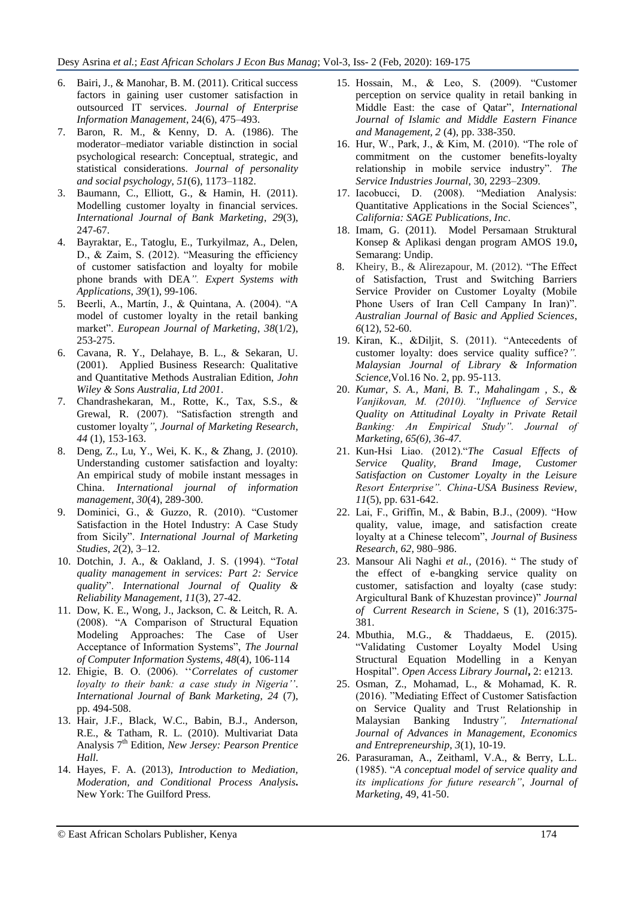- 6. Bairi, J., & Manohar, B. M. (2011). Critical success factors in gaining user customer satisfaction in outsourced IT services. *Journal of Enterprise Information Management*, 24(6), 475–493.
- 7. Baron, R. M., & Kenny, D. A. (1986). The moderator–mediator variable distinction in social psychological research: Conceptual, strategic, and statistical considerations. *Journal of personality and social psychology*, *51*(6), 1173–1182.
- 3. Baumann, C., Elliott, G., & Hamin, H. (2011). Modelling customer loyalty in financial services. *International Journal of Bank Marketing*, *29*(3), 247-67.
- 4. Bayraktar, E., Tatoglu, E., Turkyilmaz, A., Delen, D., & Zaim, S. (2012). "Measuring the efficiency of customer satisfaction and loyalty for mobile phone brands with DEA*". Expert Systems with Applications*, *39*(1), 99-106.
- 5. Beerli, A., Martín, J., & Quintana, A. (2004). "A model of customer loyalty in the retail banking market". *European Journal of Marketing*, *38*(1/2), 253-275.
- 6. Cavana, R. Y., Delahaye, B. L., & Sekaran, U. (2001). Applied Business Research: Qualitative and Quantitative Methods Australian Edition, *John Wiley & Sons Australia, Ltd 2001*.
- 7. Chandrashekaran, M., Rotte, K., Tax, S.S., & Grewal, R. (2007). "Satisfaction strength and customer loyalty*"*, *Journal of Marketing Research*, *44* (1), 153-163.
- 8. Deng, Z., Lu, Y., Wei, K. K., & Zhang, J. (2010). Understanding customer satisfaction and loyalty: An empirical study of mobile instant messages in China. *International journal of information management*, *30*(4), 289-300.
- 9. Dominici, G., & Guzzo, R. (2010). "Customer Satisfaction in the Hotel Industry: A Case Study from Sicily". *International Journal of Marketing Studies*, *2*(2), 3–12.
- 10. Dotchin, J. A., & Oakland, J. S. (1994). "*Total quality management in services: Part 2: Service quality*". *International Journal of Quality & Reliability Management*, *11*(3), 27-42.
- 11. Dow, K. E., Wong, J., Jackson, C. & Leitch, R. A. (2008). "A Comparison of Structural Equation Modeling Approaches: The Case of User Acceptance of Information Systems", *The Journal of Computer Information Systems*, *48*(4), 106-114
- 12. Ehigie, B. O. (2006). ""*Correlates of customer loyalty to their bank: a case study in Nigeria''*. *International Journal of Bank Marketing, 24* (7), pp. 494-508.
- 13. Hair, J.F., Black, W.C., Babin, B.J., Anderson, R.E., & Tatham, R. L. (2010). Multivariat Data Analysis 7th Edition, *New Jersey: Pearson Prentice Hall*.
- 14. Hayes, F. A. (2013), *Introduction to Mediation, Moderation, and Conditional Process Analysis***.**  New York: The Guilford Press.
- 15. Hossain, M., & Leo, S. (2009). "Customer perception on service quality in retail banking in Middle East: the case of Qatar"*, International Journal of Islamic and Middle Eastern Finance and Management, 2* (4), pp. 338-350.
- 16. Hur, W., Park, J., & Kim, M. (2010). "The role of commitment on the customer benefits-loyalty relationship in mobile service industry". *The Service Industries Journal*, 30, 2293–2309.
- 17. Iacobucci, D. (2008). "Mediation Analysis: Quantitative Applications in the Social Sciences", *California: SAGE Publications, Inc*.
- 18. Imam, G. (2011). Model Persamaan Struktural Konsep & Aplikasi dengan program AMOS 19.0**,**  Semarang: Undip.
- 8. Kheiry, B., & Alirezapour, M. (2012). "The Effect of Satisfaction, Trust and Switching Barriers Service Provider on Customer Loyalty (Mobile Phone Users of Iran Cell Campany In Iran)". *Australian Journal of Basic and Applied Sciences*, *6*(12), 52-60.
- 19. Kiran, K., &Diljit, S. (2011). "Antecedents of customer loyalty: does service quality suffice?*". Malaysian Journal of Library & Information Science*,Vol.16 No. 2, pp. 95-113.
- 20. *Kumar, S. A., Mani, B. T., Mahalingam , S., & Vanjikovan, M. (2010). "Influence of Service Quality on Attitudinal Loyalty in Private Retail Banking: An Empirical Study". Journal of Marketing, 65(6), 36-47.*
- 21. Kun-Hsi Liao. (2012)."*The Casual Effects of Service Quality, Brand Image, Customer Satisfaction on Customer Loyalty in the Leisure Resort Enterprise". China-USA Business Review, 11*(5), pp. 631-642.
- 22. Lai, F., Griffin, M., & Babin, B.J., (2009). "How quality, value, image, and satisfaction create loyalty at a Chinese telecom", *Journal of Business Research, 62*, 980–986.
- 23. Mansour Ali Naghi *et al.,* (2016). " The study of the effect of e-bangking service quality on customer, satisfaction and loyalty (case study: Argicultural Bank of Khuzestan province)" *Journal of Current Research in Sciene*, S (1), 2016:375- 381.
- 24. Mbuthia, M.G., & Thaddaeus, E. (2015). "Validating Customer Loyalty Model Using Structural Equation Modelling in a Kenyan Hospital". *Open Access Library Journal***,** 2: e1213.
- 25. Osman, Z., Mohamad, L., & Mohamad, K. R. (2016). "Mediating Effect of Customer Satisfaction on Service Quality and Trust Relationship in Malaysian Banking Industry*", International Journal of Advances in Management, Economics and Entrepreneurship*, *3*(1), 10-19.
- 26. Parasuraman, A., Zeithaml, V.A., & Berry, L.L. (1985). "*A conceptual model of service quality and its implications for future research"*, *Journal of Marketing*, 49, 41-50.

© East African Scholars Publisher, Kenya 174